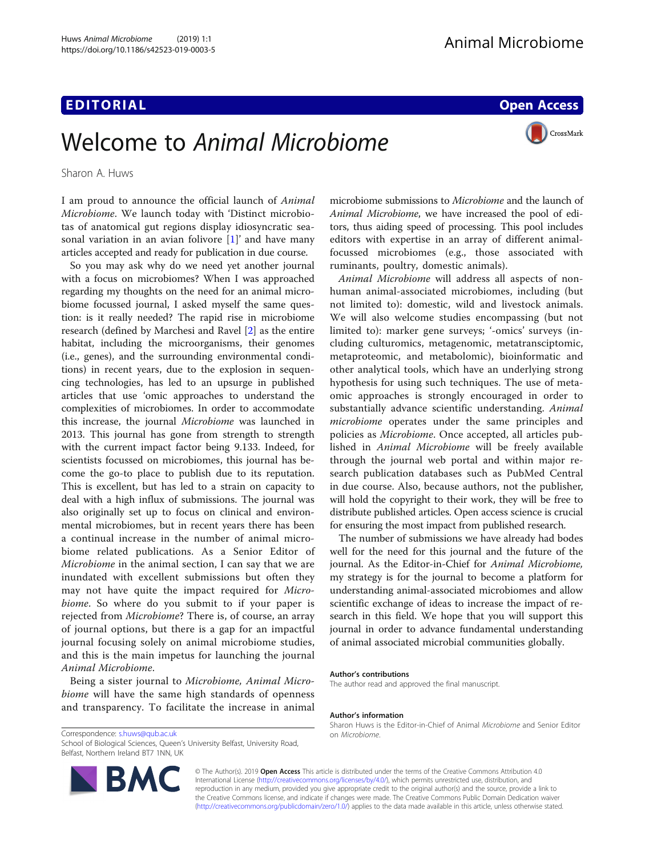# **EDITORIAL CONTRACT CONTRACT CONTRACT CONTRACT CONTRACT CONTRACT CONTRACT CONTRACT CONTRACT CONTRACT CONTRACT CO**

CrossMark

# Welcome to Animal Microbiome

Sharon A. Huws

I am proud to announce the official launch of Animal Microbiome. We launch today with 'Distinct microbiotas of anatomical gut regions display idiosyncratic seasonal variation in an avian folivore [\[1](#page-1-0)]' and have many articles accepted and ready for publication in due course.

So you may ask why do we need yet another journal with a focus on microbiomes? When I was approached regarding my thoughts on the need for an animal microbiome focussed journal, I asked myself the same question: is it really needed? The rapid rise in microbiome research (defined by Marchesi and Ravel [[2\]](#page-1-0) as the entire habitat, including the microorganisms, their genomes (i.e., genes), and the surrounding environmental conditions) in recent years, due to the explosion in sequencing technologies, has led to an upsurge in published articles that use 'omic approaches to understand the complexities of microbiomes. In order to accommodate this increase, the journal Microbiome was launched in 2013. This journal has gone from strength to strength with the current impact factor being 9.133. Indeed, for scientists focussed on microbiomes, this journal has become the go-to place to publish due to its reputation. This is excellent, but has led to a strain on capacity to deal with a high influx of submissions. The journal was also originally set up to focus on clinical and environmental microbiomes, but in recent years there has been a continual increase in the number of animal microbiome related publications. As a Senior Editor of Microbiome in the animal section, I can say that we are inundated with excellent submissions but often they may not have quite the impact required for Microbiome. So where do you submit to if your paper is rejected from Microbiome? There is, of course, an array of journal options, but there is a gap for an impactful journal focusing solely on animal microbiome studies, and this is the main impetus for launching the journal Animal Microbiome.

Being a sister journal to Microbiome, Animal Microbiome will have the same high standards of openness and transparency. To facilitate the increase in animal

Correspondence: [s.huws@qub.ac.uk](mailto:s.huws@qub.ac.uk) on Microbiome.com Microbiome.com

School of Biological Sciences, Queen's University Belfast, University Road, Belfast, Northern Ireland BT7 1NN, UK



Animal Microbiome will address all aspects of nonhuman animal-associated microbiomes, including (but not limited to): domestic, wild and livestock animals. We will also welcome studies encompassing (but not limited to): marker gene surveys; '-omics' surveys (including culturomics, metagenomic, metatransciptomic, metaproteomic, and metabolomic), bioinformatic and other analytical tools, which have an underlying strong hypothesis for using such techniques. The use of metaomic approaches is strongly encouraged in order to substantially advance scientific understanding. Animal microbiome operates under the same principles and policies as Microbiome. Once accepted, all articles published in Animal Microbiome will be freely available through the journal web portal and within major research publication databases such as PubMed Central in due course. Also, because authors, not the publisher, will hold the copyright to their work, they will be free to distribute published articles. Open access science is crucial for ensuring the most impact from published research.

The number of submissions we have already had bodes well for the need for this journal and the future of the journal. As the Editor-in-Chief for Animal Microbiome, my strategy is for the journal to become a platform for understanding animal-associated microbiomes and allow scientific exchange of ideas to increase the impact of research in this field. We hope that you will support this journal in order to advance fundamental understanding of animal associated microbial communities globally.

#### Author's contributions

The author read and approved the final manuscript.

#### Author's information

Sharon Huws is the Editor-in-Chief of Animal Microbiome and Senior Editor

© The Author(s). 2019 **Open Access** This article is distributed under the terms of the Creative Commons Attribution 4.0 International License [\(http://creativecommons.org/licenses/by/4.0/](http://creativecommons.org/licenses/by/4.0/)), which permits unrestricted use, distribution, and reproduction in any medium, provided you give appropriate credit to the original author(s) and the source, provide a link to the Creative Commons license, and indicate if changes were made. The Creative Commons Public Domain Dedication waiver [\(http://creativecommons.org/publicdomain/zero/1.0/](http://creativecommons.org/publicdomain/zero/1.0/)) applies to the data made available in this article, unless otherwise stated.